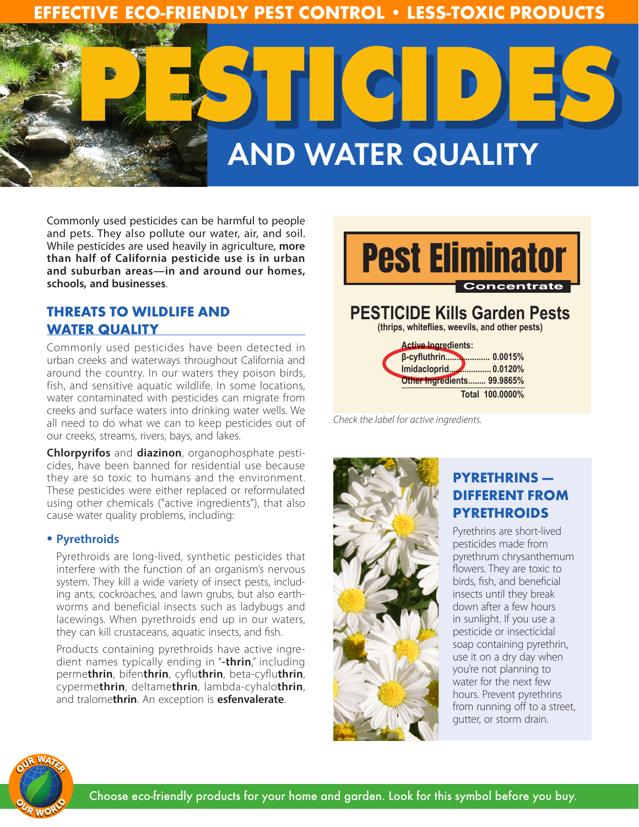

Commonly used pesticides can be harmful to people and pets. They also pollute our water, air, and soil. While pesticides are used heavily in agriculture, **more than half of California pesticide use is in urban and suburban areas—in and around our homes, schools, and businesses**.

## **THREATS TO WILDLIFE AND WATER QUALITY**

Commonly used pesticides have been detected in urban creeks and waterways throughout California and around the country. In our waters they poison birds, fish, and sensitive aquatic wildlife. In some locations, water contaminated with pesticides can migrate from creeks and surface waters into drinking water wells. We all need to do what we can to keep pesticides out of our creeks, streams, rivers, bays, and lakes.

**Chlorpyrifos** and **diazinon**, organophosphate pesticides, have been banned for residential use because they are so toxic to humans and the environment. These pesticides were either replaced or reformulated using other chemicals ("active ingredients"), that also cause water quality problems, including:

#### **• Pyrethroids**

Pyrethroids are long-lived, synthetic pesticides that interfere with the function of an organism's nervous system. They kill a wide variety of insect pests, including ants, cockroaches, and lawn grubs, but also earthworms and beneficial insects such as ladybugs and lacewings. When pyrethroids end up in our waters, they can kill crustaceans, aquatic insects, and fish.

Products containing pyrethroids have active ingredient names typically ending in "**-thrin**," including perme**thrin**, bifen**thrin**, cyflu**thrin**, beta-cyflu**thrin**, cyperme**thrin**, deltame**thrin**, lambda-cyhalo**thrin**, and tralome**thrin**. An exception is **esfenvalerate**.



*Check the label for active ingredients.*



# **PYRETHRINS — DIFFERENT FROM PYRETHROIDS**

**Total 100.0000%**

Pyrethrins are short-lived pesticides made from pyrethrum chrysanthemum flowers. They are toxic to birds, fish, and beneficial insects until they break down after a few hours in sunlight. If you use a pesticide or insecticidal soap containing pyrethrin, use it on a dry day when you're not planning to water for the next few hours. Prevent pyrethrins from running off to a street, gutter, or storm drain.